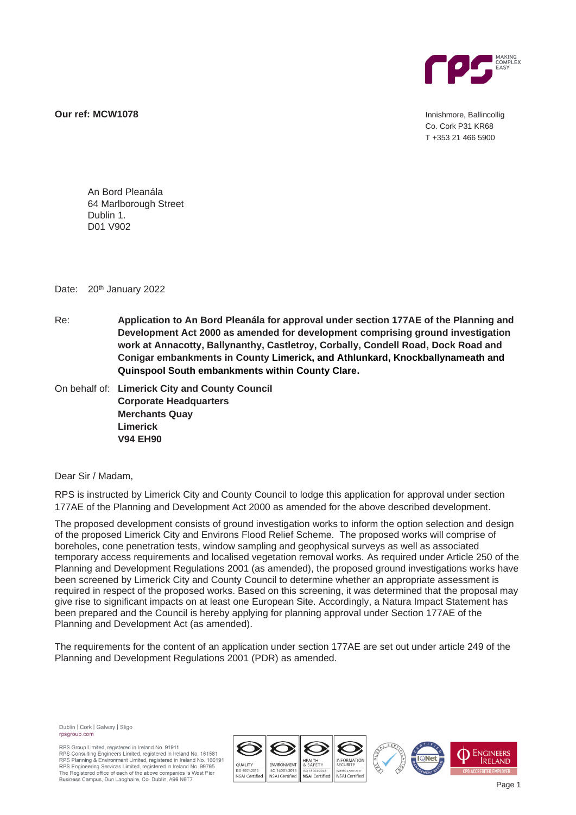

**Our ref: MCW1078 Innishmore, Ballincollig** 

Co. Cork P31 KR68 T +353 21 466 5900

An Bord Pleanála 64 Marlborough Street Dublin 1. D01 V902

Date: 20<sup>th</sup> January 2022

Re: **Application to An Bord Pleanála for approval under section 177AE of the Planning and Development Act 2000 as amended for development comprising ground investigation work at Annacotty, Ballynanthy, Castletroy, Corbally, Condell Road, Dock Road and Conigar embankments in County Limerick, and Athlunkard, Knockballynameath and Quinspool South embankments within County Clare.**

On behalf of: **Limerick City and County Council Corporate Headquarters Merchants Quay Limerick V94 EH90**

Dear Sir / Madam,

RPS is instructed by Limerick City and County Council to lodge this application for approval under section 177AE of the Planning and Development Act 2000 as amended for the above described development.

The proposed development consists of ground investigation works to inform the option selection and design of the proposed Limerick City and Environs Flood Relief Scheme. The proposed works will comprise of boreholes, cone penetration tests, window sampling and geophysical surveys as well as associated temporary access requirements and localised vegetation removal works. As required under Article 250 of the Planning and Development Regulations 2001 (as amended), the proposed ground investigations works have been screened by Limerick City and County Council to determine whether an appropriate assessment is required in respect of the proposed works. Based on this screening, it was determined that the proposal may give rise to significant impacts on at least one European Site. Accordingly, a Natura Impact Statement has been prepared and the Council is hereby applying for planning approval under Section 177AE of the Planning and Development Act (as amended).

The requirements for the content of an application under section 177AE are set out under article 249 of the Planning and Development Regulations 2001 (PDR) as amended.

Dublin | Cork | Galway | Sligo rpsgroup.com

RPS Group Limited, registered in Ireland No. 91911 RPS Consulting Engineers Limited, registered in Ireland No. 161581<br>RPS Consulting Engineers Limited, registered in Ireland No. 160191<br>RPS Engineering Services Limited, registered in Ireland No. 160191<br>RPS Engineering Servi The Registered office of each of the above companies is West Pier Business Campus, Dun Laoghaire, Co. Dublin, A96 N6T7

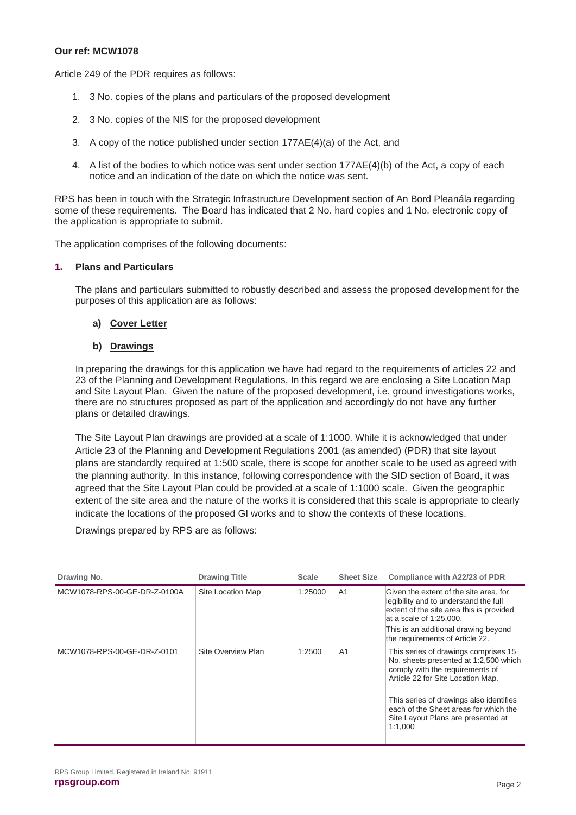### **Our ref: MCW1078**

Article 249 of the PDR requires as follows:

- 1. 3 No. copies of the plans and particulars of the proposed development
- 2. 3 No. copies of the NIS for the proposed development
- 3. A copy of the notice published under section 177AE(4)(a) of the Act, and
- 4. A list of the bodies to which notice was sent under section 177AE(4)(b) of the Act, a copy of each notice and an indication of the date on which the notice was sent.

RPS has been in touch with the Strategic Infrastructure Development section of An Bord Pleanála regarding some of these requirements. The Board has indicated that 2 No. hard copies and 1 No. electronic copy of the application is appropriate to submit.

The application comprises of the following documents:

#### **1. Plans and Particulars**

The plans and particulars submitted to robustly described and assess the proposed development for the purposes of this application are as follows:

# **a) Cover Letter**

# **b) Drawings**

In preparing the drawings for this application we have had regard to the requirements of articles 22 and 23 of the Planning and Development Regulations, In this regard we are enclosing a Site Location Map and Site Layout Plan. Given the nature of the proposed development, i.e. ground investigations works, there are no structures proposed as part of the application and accordingly do not have any further plans or detailed drawings.

The Site Layout Plan drawings are provided at a scale of 1:1000. While it is acknowledged that under Article 23 of the Planning and Development Regulations 2001 (as amended) (PDR) that site layout plans are standardly required at 1:500 scale, there is scope for another scale to be used as agreed with the planning authority. In this instance, following correspondence with the SID section of Board, it was agreed that the Site Layout Plan could be provided at a scale of 1:1000 scale. Given the geographic extent of the site area and the nature of the works it is considered that this scale is appropriate to clearly indicate the locations of the proposed GI works and to show the contexts of these locations.

Drawings prepared by RPS are as follows:

| Drawing No.                  | <b>Drawing Title</b> | <b>Scale</b> | <b>Sheet Size</b> | Compliance with A22/23 of PDR                                                                                                                                                                                                                                                              |
|------------------------------|----------------------|--------------|-------------------|--------------------------------------------------------------------------------------------------------------------------------------------------------------------------------------------------------------------------------------------------------------------------------------------|
| MCW1078-RPS-00-GE-DR-Z-0100A | Site Location Map    | 1:25000      | A <sub>1</sub>    | Given the extent of the site area, for<br>legibility and to understand the full<br>extent of the site area this is provided<br>at a scale of $1:25.000$ .<br>This is an additional drawing beyond<br>the requirements of Article 22.                                                       |
| MCW1078-RPS-00-GE-DR-Z-0101  | Site Overview Plan   | 1:2500       | A <sub>1</sub>    | This series of drawings comprises 15<br>No. sheets presented at 1:2,500 which<br>comply with the requirements of<br>Article 22 for Site Location Map.<br>This series of drawings also identifies<br>each of the Sheet areas for which the<br>Site Layout Plans are presented at<br>1:1,000 |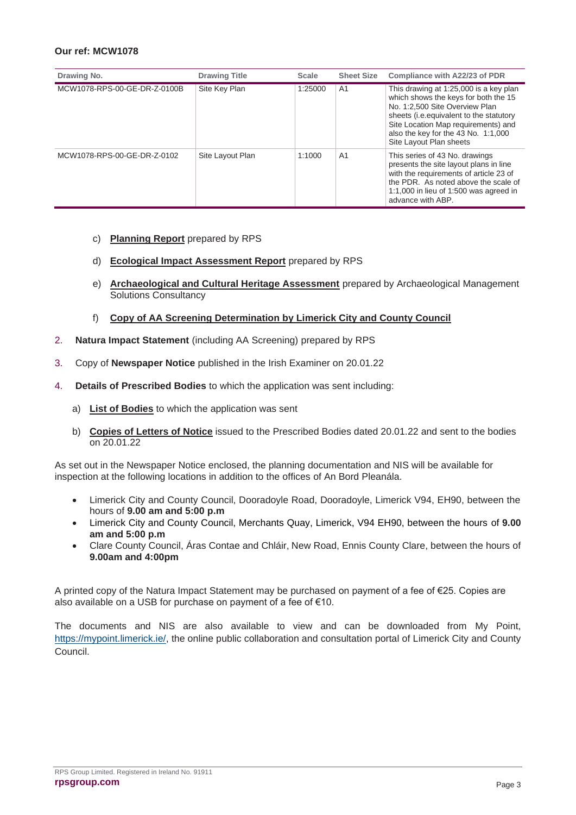# **Our ref: MCW1078**

| Drawing No.                  | <b>Drawing Title</b> | <b>Scale</b> | <b>Sheet Size</b> | Compliance with A22/23 of PDR                                                                                                                                                                                                                                         |
|------------------------------|----------------------|--------------|-------------------|-----------------------------------------------------------------------------------------------------------------------------------------------------------------------------------------------------------------------------------------------------------------------|
| MCW1078-RPS-00-GE-DR-Z-0100B | Site Key Plan        | 1:25000      | A <sub>1</sub>    | This drawing at 1:25,000 is a key plan<br>which shows the keys for both the 15<br>No. 1:2,500 Site Overview Plan<br>sheets (i.e. equivalent to the statutory<br>Site Location Map requirements) and<br>also the key for the 43 No. 1:1,000<br>Site Layout Plan sheets |
| MCW1078-RPS-00-GE-DR-Z-0102  | Site Layout Plan     | 1:1000       | A <sub>1</sub>    | This series of 43 No. drawings<br>presents the site layout plans in line<br>with the requirements of article 23 of<br>the PDR. As noted above the scale of<br>1:1,000 in lieu of 1:500 was agreed in<br>advance with ABP.                                             |

- c) **Planning Report** prepared by RPS
- d) **Ecological Impact Assessment Report** prepared by RPS
- e) **Archaeological and Cultural Heritage Assessment** prepared by Archaeological Management Solutions Consultancy
- f) **Copy of AA Screening Determination by Limerick City and County Council**
- 2. **Natura Impact Statement** (including AA Screening) prepared by RPS
- 3. Copy of **Newspaper Notice** published in the Irish Examiner on 20.01.22
- 4. **Details of Prescribed Bodies** to which the application was sent including:
	- a) **List of Bodies** to which the application was sent
	- b) **Copies of Letters of Notice** issued to the Prescribed Bodies dated 20.01.22 and sent to the bodies on 20.01.22

As set out in the Newspaper Notice enclosed, the planning documentation and NIS will be available for inspection at the following locations in addition to the offices of An Bord Pleanála.

- Limerick City and County Council, Dooradoyle Road, Dooradoyle, Limerick V94, EH90, between the hours of **9.00 am and 5:00 p.m**
- Limerick City and County Council, Merchants Quay, Limerick, V94 EH90, between the hours of **9.00 am and 5:00 p.m**
- Clare County Council, Áras Contae and Chláir, New Road, Ennis County Clare, between the hours of **9.00am and 4:00pm**

A printed copy of the Natura Impact Statement may be purchased on payment of a fee of €25. Copies are also available on a USB for purchase on payment of a fee of €10.

The documents and NIS are also available to view and can be downloaded from My Point, [https://mypoint.limerick.ie/,](https://mypoint.limerick.ie/) the online public collaboration and consultation portal of Limerick City and County Council.